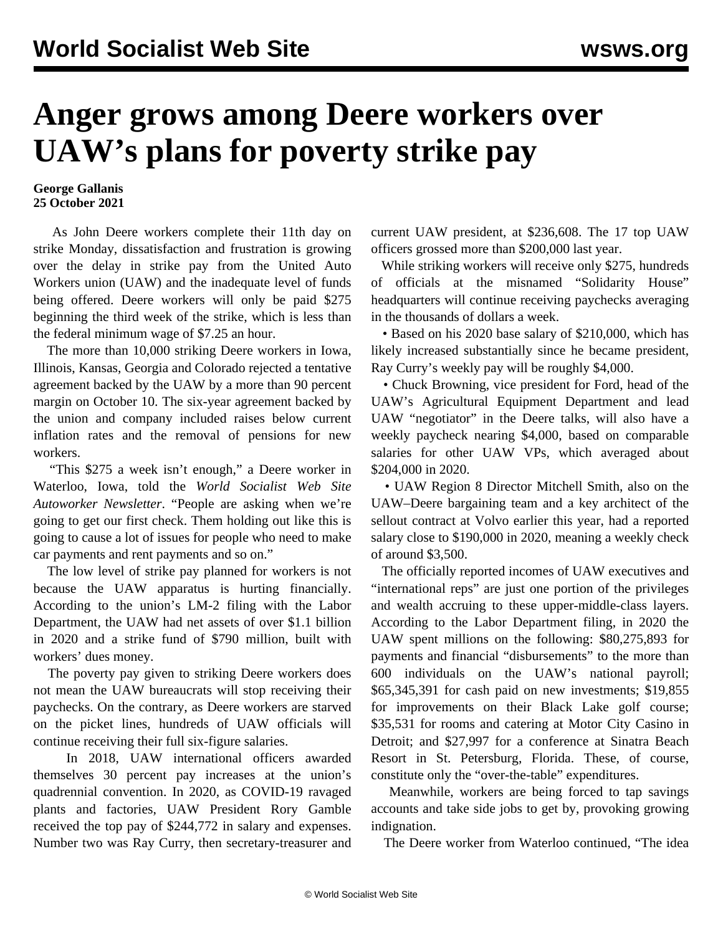## **Anger grows among Deere workers over UAW's plans for poverty strike pay**

## **George Gallanis 25 October 2021**

 As John Deere workers complete their 11th day on strike Monday, dissatisfaction and frustration is growing over the delay in strike pay from the United Auto Workers union (UAW) and the inadequate level of funds being offered. Deere workers will only be paid \$275 beginning the third week of the strike, which is less than the federal minimum wage of \$7.25 an hour.

 The more than 10,000 striking Deere workers in Iowa, Illinois, Kansas, Georgia and Colorado rejected a tentative agreement backed by the UAW by a more than 90 percent margin on October 10. The six-year agreement backed by the union and company included raises below current inflation rates and the removal of pensions for new workers.

 "This \$275 a week isn't enough," a Deere worker in Waterloo, Iowa, told the *World Socialist Web Site Autoworker Newsletter*. "People are asking when we're going to get our first check. Them holding out like this is going to cause a lot of issues for people who need to make car payments and rent payments and so on."

 The low level of strike pay planned for workers is not because the UAW apparatus is hurting financially. According to the union's [LM-2 filing](https://olmsapps.dol.gov/query/orgReport.do?rptId=752003&rptForm=LM2Form) with the Labor Department, the UAW had net assets of over \$1.1 billion in 2020 and a strike fund of \$790 million, built with workers' dues money.

 The poverty pay given to striking Deere workers does not mean the UAW bureaucrats will stop receiving their paychecks. On the contrary, as Deere workers are starved on the picket lines, hundreds of UAW officials will continue receiving their full six-figure salaries.

 In 2018, UAW international officers awarded themselves 30 percent pay increases at the union's quadrennial convention. In 2020, as COVID-19 ravaged plants and factories, UAW President Rory Gamble received the top pay of \$244,772 in salary and expenses. Number two was Ray Curry, then secretary-treasurer and

current UAW president, at \$236,608. The 17 top UAW officers grossed more than \$200,000 last year.

 While striking workers will receive only \$275, hundreds of officials at the misnamed "Solidarity House" headquarters will continue receiving paychecks averaging in the thousands of dollars a week.

 • Based on his 2020 base salary of \$210,000, which has likely increased substantially since he became president, Ray Curry's weekly pay will be roughly \$4,000.

 • Chuck Browning, vice president for Ford, head of the UAW's Agricultural Equipment Department and lead UAW "negotiator" in the Deere talks, will also have a weekly paycheck nearing \$4,000, based on comparable salaries for other UAW VPs, which averaged about \$204,000 in 2020.

 • UAW Region 8 Director Mitchell Smith, also on the UAW–Deere bargaining team and a key architect of the [sellout contract at Volvo](/en/articles/2021/05/22/volv-m22.html) earlier this year, had a reported salary close to \$190,000 in 2020, meaning a weekly check of around \$3,500.

 The officially reported incomes of UAW executives and "international reps" are just one portion of the privileges and wealth accruing to these upper-middle-class layers. According to the Labor Department filing, in 2020 the UAW spent millions on the following: \$80,275,893 for payments and financial "disbursements" to the more than 600 individuals on the UAW's national payroll; \$65,345,391 for cash paid on new investments; \$19,855 for improvements on their Black Lake golf course; \$35,531 for rooms and catering at Motor City Casino in Detroit; and \$27,997 for a conference at Sinatra Beach Resort in St. Petersburg, Florida. These, of course, constitute only the "over-the-table" expenditures.

 Meanwhile, workers are being forced to tap savings accounts and take side jobs to get by, provoking growing indignation.

The Deere worker from Waterloo continued, "The idea